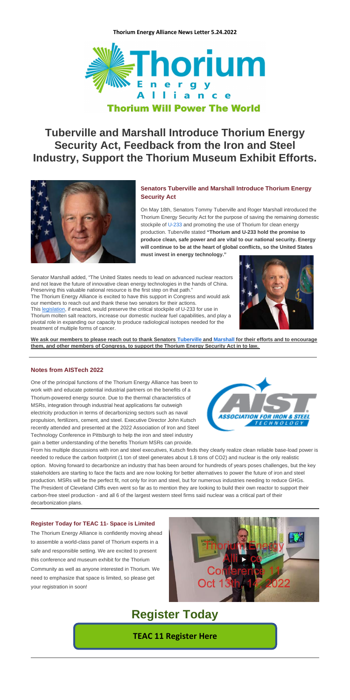

### **Tuberville and Marshall Introduce Thorium Energy Security Act, Feedback from the Iron and Steel Industry, Support the Thorium Museum Exhibit Efforts.**



### **Senators Tuberville and Marshall Introduce Thorium Energy Security Act**

On May 18th, Senators Tommy Tuberville and Roger Marshall introduced the Thorium Energy Security Act for the purpose of saving the remaining domestic stockpile of [U-233](https://thoriumenergyalliance.bmetrack.com/c/l?u=DDE9EE7&e=145400E&c=105FA4&t=0&l=5321DD61&email=tPj51qXCIXSv1LHQ2CUFo0aVIAo9g810%2FPdclI9F%2BCE%3D&seq=1) and promoting the use of Thorium for clean energy production. Tuberville stated **"Thorium and U-233 hold the promise to produce clean, safe power and are vital to our national security. Energy will continue to be at the heart of global conflicts, so the United States must invest in energy technology."**

Senator Marshall added, "The United States needs to lead on advanced nuclear reactors and not leave the future of innovative clean energy technologies in the hands of China. Preserving this valuable national resource is the first step on that path." The Thorium Energy Alliance is excited to have this support in Congress and would ask our members to reach out and thank these two senators for their actions. This [legislation,](https://thoriumenergyalliance.bmetrack.com/c/l?u=DDEC36C&e=145400E&c=105FA4&t=0&l=5321DD61&email=tPj51qXCIXSv1LHQ2CUFo0aVIAo9g810%2FPdclI9F%2BCE%3D&seq=1) if enacted, would preserve the critical stockpile of U-233 for use in Thorium molten salt reactors, increase our domestic nuclear fuel capabilities, and play a pivotal role in expanding our capacity to produce radiological isotopes needed for the treatment of multiple forms of cancer.



**We ask our members to please reach out to thank Senators [Tuberville](https://thoriumenergyalliance.bmetrack.com/c/l?u=DDEA035&e=145400E&c=105FA4&t=0&l=5321DD61&email=tPj51qXCIXSv1LHQ2CUFo0aVIAo9g810%2FPdclI9F%2BCE%3D&seq=2) and [Marshall](https://thoriumenergyalliance.bmetrack.com/c/l?u=DDEA036&e=145400E&c=105FA4&t=0&l=5321DD61&email=tPj51qXCIXSv1LHQ2CUFo0aVIAo9g810%2FPdclI9F%2BCE%3D&seq=2) for their efforts and to encourage them, and other members of Congress, to support the Thorium Energy Security Act in to law.**

#### **Notes from AISTech 2022**

One of the principal functions of the Thorium Energy Alliance has been to work with and educate potential industrial partners on the benefits of a Thorium-powered energy source. Due to the thermal characteristics of MSRs, integration through industrial heat applications far outweigh electricity production in terms of decarbonizing sectors such as naval propulsion, fertilizers, cement, and steel. Executive Director John Kutsch recently attended and presented at the 2022 Association of Iron and Steel Technology Conference in Pittsburgh to help the iron and steel industry gain a better understanding of the benefits Thorium MSRs can provide.



From his multiple discussions with iron and steel executives, Kutsch finds they clearly realize clean reliable base-load power is needed to reduce the carbon footprint (1 ton of steel generates about 1.8 tons of CO2) and nuclear is the only realistic option. Moving forward to decarbonize an industry that has been around for hundreds of years poses challenges, but the key stakeholders are starting to face the facts and are now looking for better alternatives to power the future of iron and steel production. MSRs will be the perfect fit, not only for iron and steel, but for numerous industries needing to reduce GHGs. The President of Cleveland Cliffs even went so far as to mention they are looking to build their own reactor to support their carbon-free steel production - and all 6 of the largest western steel firms said nuclear was a critical part of their decarbonization plans.

#### **Register Today for TEAC 11- Space is Limited**

The Thorium Energy Alliance is confidently moving ahead to assemble a world-class panel of Thorium experts in a safe and responsible setting. We are excited to present this conference and museum exhibit for the Thorium Community as well as anyone interested in Thorium. We need to emphasize that space is limited, so please get your registration in soon!



## **Register Today**

**[TEAC 11 Register Here](https://thoriumenergyalliance.com/tea-conference/)**